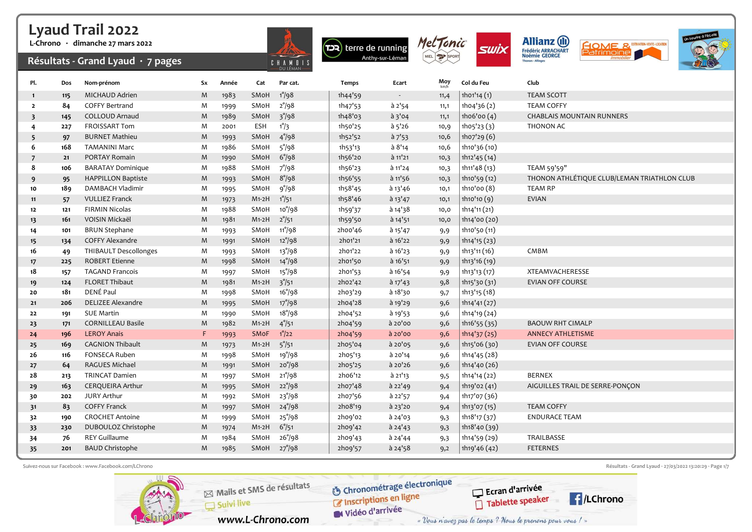L-Chrono · dimanche 27 mars 2022

#### Résultats - Grand Lyaud  $\cdot$  7 pages







Ecran d'arrivée

Tablette speaker





| Pl.                     | Dos | Nom-prénom                   | Sx | Année | Cat     | Par cat.         | Temps   | Ecart     | Moy  | Col du Feu   | Club                                        |
|-------------------------|-----|------------------------------|----|-------|---------|------------------|---------|-----------|------|--------------|---------------------------------------------|
| $\mathbf{1}$            | 115 | <b>MICHAUD Adrien</b>        | M  | 1983  | SMoH    | $1^{\circ}/98$   | 1h44'59 |           | 11,4 | 1h01'14(1)   | <b>TEAM SCOTT</b>                           |
| $\overline{2}$          | 84  | COFFY Bertrand               | M  | 1999  | SMoH    | $2^{\circ}/98$   | 1h47'53 | à 2'54    | 11,1 | 1h04'36(2)   | <b>TEAM COFFY</b>                           |
| $\overline{\mathbf{3}}$ | 145 | <b>COLLOUD Arnaud</b>        | M  | 1989  | SMoH    | $3^{\circ}/98$   | 1h48'03 | $a$ 3'04  | 11,1 | 1h06'00(4)   | <b>CHABLAIS MOUNTAIN RUNNERS</b>            |
| 4                       | 227 | <b>FROISSART Tom</b>         | M  | 2001  | ESH     | $1^{\circ}/3$    | 1h50'25 | à 5'26    | 10,9 | 1h05'23(3)   | THONON AC                                   |
| 5                       | 97  | <b>BURNET Mathieu</b>        | M  | 1993  | SMoH    | $4^{\circ}/98$   | 1h52'52 | $a$ 7'53  | 10,6 | 1h07'29(6)   |                                             |
| 6                       | 168 | <b>TAMANINI Marc</b>         | M  | 1986  | SMoH    | $5^{\circ}/98$   | 1h53'13 | a 8'14    | 10,6 | 1h10'36 (10) |                                             |
| 7                       | 21  | PORTAY Romain                | M  | 1990  | SMoH    | 6°/98            | 1h56'20 | à 11'21   | 10,3 | 1h12'45 (14) |                                             |
| 8                       | 106 | <b>BARATAY Dominique</b>     | M  | 1988  | SMoH    | $7^{\circ}/98$   | 1h56'23 | à 11'24   | 10,3 | 1h11'48 (13) | TEAM 59'59"                                 |
| 9                       | 95  | <b>HAPPILLON Baptiste</b>    | M  | 1993  | SMoH    | $8^\circ/98$     | 1h56'55 | à 11'56   | 10,3 | 1h10'59 (12) | THONON ATHLÉTIQUE CLUB/LEMAN TRIATHLON CLUB |
| 10                      | 189 | <b>DAMBACH Vladimir</b>      | M  | 1995  | SMoH    | 9°/98            | 1h58'45 | $a$ 13'46 | 10,1 | 1h10'00 (8)  | <b>TEAM RP</b>                              |
| 11                      | 57  | <b>VULLIEZ Franck</b>        | M  | 1973  | $M1-2H$ | $1^{\circ}/51$   | 1h58'46 | $a$ 13'47 | 10,1 | 1h10'10(9)   | <b>EVIAN</b>                                |
| 12                      | 121 | <b>FIRMIN Nicolas</b>        | M  | 1988  | SMoH    | $10^{9}/98$      | 1h59'37 | à 14'38   | 10,0 | 1h14'11(21)  |                                             |
| 13                      | 161 | VOISIN Mickaël               | M  | 1981  | $M1-2H$ | $2^{\circ}/51$   | 1h59'50 | à 14'51   | 10,0 | 1h14'00 (20) |                                             |
| 14                      | 101 | <b>BRUN Stephane</b>         | M  | 1993  | SMoH    | 11°/98           | 2hoo'46 | $a$ 15'47 | 9,9  | 1h10'50 (11) |                                             |
| 15                      | 134 | <b>COFFY Alexandre</b>       | M  | 1991  | SMoH    | $12^{\circ}/98$  | 2h01'21 | $a$ 16'22 | 9,9  | 1h14'15 (23) |                                             |
| 16                      | 49  | <b>THIBAULT Descollonges</b> | M  | 1993  | SMoH    | $13^{\circ}/98$  | 2h01'22 | $a$ 16'23 | 9,9  | 1h13'11(16)  | CMBM                                        |
| 17                      | 225 | <b>ROBERT Etienne</b>        | M  | 1998  | SMoH    | $14^{\circ}/98$  | 2h01'50 | $a$ 16'51 | 9,9  | 1h13'16 (19) |                                             |
| 18                      | 157 | <b>TAGAND Francois</b>       | M  | 1997  | SMoH    | $15^{\circ}/98$  | 2h01'53 | à 16'54   | 9,9  | 1h13'13 (17) | <b>XTEAMVACHERESSE</b>                      |
| 19                      | 124 | <b>FLORET Thibaut</b>        | M  | 1981  | $M1-2H$ | $3^{\degree}/51$ | 2h02'42 | $a$ 17'43 | 9,8  | 1h15'30(31)  | <b>EVIAN OFF COURSE</b>                     |
| 20                      | 181 | DENÉ Paul                    | M  | 1998  | SMoH    | 16°/98           | 2h03'29 | à 18'30   | 9,7  | 1h13'15(18)  |                                             |
| 21                      | 206 | <b>DELIZEE Alexandre</b>     | M  | 1995  | SMoH    | $17^{\circ}/98$  | 2ho4'28 | à 19'29   | 9,6  | 1h14'41(27)  |                                             |
| 22                      | 191 | <b>SUE Martin</b>            | M  | 1990  | SMoH    | 18°/98           | 2h04'52 | à 19'53   | 9,6  | 1h14'19(24)  |                                             |
| 23                      | 171 | <b>CORNILLEAU Basile</b>     | M  | 1982  | $M1-2H$ | $4^{\circ}/51$   | 2ho4'59 | à 20'00   | 9,6  | 1h16'55(35)  | <b>BAOUW RHT CIMALP</b>                     |
| 24                      | 196 | <b>LEROY Anais</b>           | F  | 1993  | SMoF    | $1^{\circ}/22$   | 2ho4'59 | à 20'00   | 9,6  | 1h14'37 (25) | <b>ANNECY ATHLETISME</b>                    |
| 25                      | 169 | <b>CAGNION Thibault</b>      | M  | 1973  | $M1-2H$ | $5^{\circ}/51$   | 2h05'04 | $a$ 20'05 | 9,6  | 1h15'06 (30) | <b>EVIAN OFF COURSE</b>                     |
| 26                      | 116 | FONSECA Ruben                | M  | 1998  | SMoH    | 19°/98           | 2h05'13 | à 20'14   | 9,6  | 1h14'45 (28) |                                             |
| 27                      | 64  | RAGUES Michael               | M  | 1991  | SMoH    | $20^{\circ}/98$  | 2h05'25 | $a$ 20'26 | 9,6  | 1h14'40 (26) |                                             |
| 28                      | 213 | <b>TRINCAT Damien</b>        | M  | 1997  | SMoH    | $21^{\circ}/98$  | 2h06'12 | à 21'13   | 9,5  | 1h14'14(22)  | <b>BERNEX</b>                               |
| 29                      | 163 | <b>CERQUEIRA Arthur</b>      | M  | 1995  | SMoH    | $22^{\circ}/98$  | 2ho7'48 | $a$ 22'49 | 9,4  | 1h19'02 (41) | AIGUILLES TRAIL DE SERRE-PONÇON             |
| 30                      | 202 | <b>JURY Arthur</b>           | M  | 1992  | SMoH    | $23^{\circ}/98$  | 2ho7'56 | $a$ 22'57 | 9,4  | 1h17'07 (36) |                                             |
| 31                      | 83  | <b>COFFY Franck</b>          | M  | 1997  | SMoH    | $24^{\circ}/98$  | 2ho8'19 | à 23'20   | 9,4  | 1h13'07 (15) | <b>TEAM COFFY</b>                           |
| 32                      | 190 | <b>CROCHET Antoine</b>       | M  | 1999  | SMoH    | 25°/98           | 2ho9'02 | $a$ 24'03 | 9,3  | 1h18'17 (37) | <b>ENDURACE TEAM</b>                        |
| 33                      | 230 | DUBOULOZ Christophe          | M  | 1974  | $M1-2H$ | $6^{\circ}/51$   | 2ho9'42 | $a$ 24'43 | 9,3  | 1h18'40 (39) |                                             |
| 34                      | 76  | <b>REY Guillaume</b>         | M  | 1984  | SMoH    | 26°/98           | 2ho9'43 | à 24'44   | 9,3  | 1h14'59 (29) | TRAILBASSE                                  |
| 35                      | 201 | <b>BAUD Christophe</b>       | M  | 1985  | SMoH    | 27°/98           | 2ho9'57 | $a$ 24'58 | 9,2  | 1h19'46(42)  | <b>FETERNES</b>                             |



**P**/LChrono



O Chronométrage électronique Chronomediago Widéo d'arrivée

« Vous n'avez pas le temps ? Nous le prenons pour vous ! »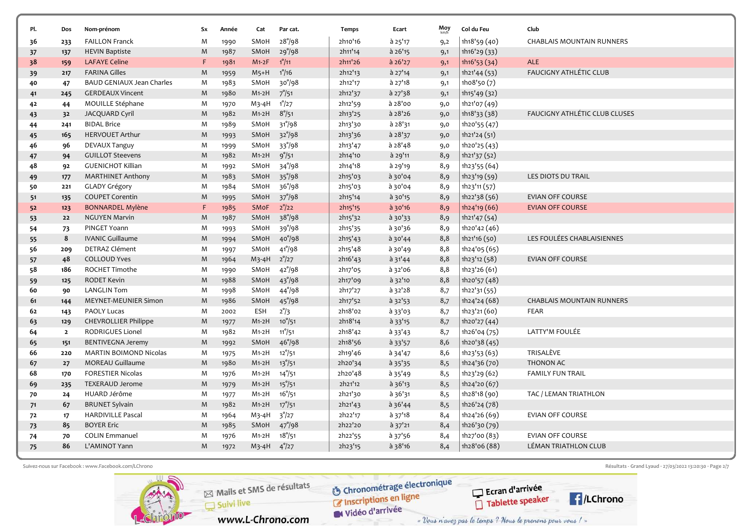| PI. | Dos            | Nom-prénom                       | Sx          | Année | Cat        | Par cat.        | <b>Temps</b> | Ecart           | $Moy$ <sub>km/h</sub> | Col du Feu   | Club                             |
|-----|----------------|----------------------------------|-------------|-------|------------|-----------------|--------------|-----------------|-----------------------|--------------|----------------------------------|
| 36  | 233            | <b>FAILLON Franck</b>            | M           | 1990  | SMoH       | $28^{\circ}/98$ | 2h10'16      | $a$ 25'17       | 9,2                   | 1h18'59(40)  | <b>CHABLAIS MOUNTAIN RUNNERS</b> |
| 37  | 137            | <b>HEVIN Baptiste</b>            | $M_{\odot}$ | 1987  | SMoH       | 29°/98          | 2h11'14      | $a$ 26'15       | 9,1                   | 1h16'29(33)  |                                  |
| 38  | 159            | <b>LAFAYE Celine</b>             | F.          | 1981  | $M1-2F$    | $1^{\circ}/11$  | 2h11'26      | $a$ 26'27       | 9,1                   | 1h16'53 (34) | <b>ALE</b>                       |
| 39  | 217            | <b>FARINA Gilles</b>             | M           | 1959  | $M5+H$     | $1^{\circ}/16$  | 2h12'13      | $a$ 27'14       | 9,1                   | 1h21'44 (53) | <b>FAUCIGNY ATHLÉTIC CLUB</b>    |
| 40  | 47             | <b>BAUD GENIAUX Jean Charles</b> | M           | 1983  | SMoH       | 30°/98          | 2h12'17      | $a$ 27'18       | 9,1                   | 1ho8'50(7)   |                                  |
| 41  | 245            | <b>GERDEAUX Vincent</b>          | M           | 1980  | $M1-2H$    | $7^{\circ}/51$  | 2h12'37      | $a$ 27'38       | 9,1                   | 1h15'49(32)  |                                  |
| 42  | 44             | MOUILLE Stéphane                 | M           | 1970  | $M_3-4H$   | $1^{\circ}/27$  | 2h12'59      | à 28'00         | 9,0                   | 1h21'07(49)  |                                  |
| 43  | 32             | <b>JACQUARD Cyril</b>            | M           | 1982  | $M1-2H$    | $8^{\circ}/51$  | 2h13'25      | $a$ 28'26       | 9,0                   | 1h18'33 (38) | FAUCIGNY ATHLÉTIC CLUB CLUSES    |
| 44  | 241            | <b>BIDAL Brice</b>               | M           | 1989  | SMoH       | 31°/98          | 2h13'30      | à 28'31         | 9,0                   | 1h20'55 (47) |                                  |
| 45  | 165            | <b>HERVOUET Arthur</b>           | M           | 1993  | SMoH       | $32^{o}/98$     | 2h13'36      | $a^{28'37}$     | 9,0                   | 1h21'24(51)  |                                  |
| 46  | 96             | DEVAUX Tanguy                    | M           | 1999  | SMoH       | 33°/98          | 2h13'47      | a 28'48         | 9,0                   | 1h20'25 (43) |                                  |
| 47  | 94             | <b>GUILLOT Steevens</b>          | M           | 1982  | $M1-2H$    | 9°/51           | 2h14'10      | à 29'11         | 8,9                   | 1h21'37 (52) |                                  |
| 48  | 92             | <b>GUENICHOT Killian</b>         | M           | 1992  | SMoH       | 34°/98          | 2h14'18      | à 29'19         | 8,9                   | 1h23'55 (64) |                                  |
| 49  | 177            | <b>MARTHINET Anthony</b>         | M           | 1983  | SMoH       | 35°/98          | 2h15'03      | $a$ 30'04       | 8,9                   | 1h23'19 (59) | LES DIOTS DU TRAIL               |
| 50  | 221            | <b>GLADY Grégory</b>             | M           | 1984  | SMoH       | 36°/98          | 2h15'03      | à 30'04         | 8,9                   | 1h23'11 (57) |                                  |
| 51  | 135            | <b>COUPET Corentin</b>           | M           | 1995  | SMoH       | $37^{\circ}/98$ | 2h15'14      | $a$ 30'15       | 8,9                   | 1h22'38 (56) | <b>EVIAN OFF COURSE</b>          |
| 52  | 123            | <b>BONNARDEL Mylène</b>          | F           | 1985  | SMoF       | $2^{\circ}/22$  | 2h15'15      | à 30'16         | 8,9                   | 1h24'19 (66) | <b>EVIAN OFF COURSE</b>          |
| 53  | 22             | <b>NGUYEN Marvin</b>             | M           | 1987  | SMoH       | 38°/98          | 2h15'32      | $a$ 30'33       | 8,9                   | 1h21'47 (54) |                                  |
| 54  | 73             | PINGET Yoann                     | M           | 1993  | SMoH       | 39°/98          | 2h15'35      | à 30'36         | 8,9                   | 1h20'42 (46) |                                  |
| 55  | 8              | <b>IVANIC Guillaume</b>          | M           | 1994  | SMoH       | $40^{o}/98$     | 2h15'43      | $a$ 30'44       | 8,8                   | 1h21'16 (50) | LES FOULÉES CHABLAISIENNES       |
| 56  | 209            | <b>DETRAZ Clément</b>            | M           | 1997  | SMoH       | $41^{\circ}/98$ | 2h15'48      | à 30'49         | 8,8                   | 1h24'05 (65) |                                  |
| 57  | 48             | <b>COLLOUD Yves</b>              | M           | 1964  | $M_3-4H$   | $2^{\circ}/27$  | 2h16'43      | $a$ 31'44       | 8,8                   | 1h23'12 (58) | <b>EVIAN OFF COURSE</b>          |
| 58  | 186            | ROCHET Timothe                   | M           | 1990  | SMoH       | $42^{\circ}/98$ | 2h17'05      | à 32'06         | 8,8                   | 1h23'26 (61) |                                  |
| 59  | 125            | <b>RODET Kevin</b>               | M           | 1988  | SMoH       | $43^{\circ}/98$ | 2h17'09      | à 32'10         | 8,8                   | 1h20'57(48)  |                                  |
| 60  | 90             | <b>LANGLIN Tom</b>               | M           | 1998  | SMoH       | 44°/98          | 2h17'27      | à 32'28         | 8,7                   | 1h22'31 (55) |                                  |
| 61  | 144            | <b>MEYNET-MEUNIER Simon</b>      | M           | 1986  | SMoH       | $45^{\circ}/98$ | 2h17'52      | $a$ 32'53       | 8,7                   | 1h24'24 (68) | <b>CHABLAIS MOUNTAIN RUNNERS</b> |
| 62  | 143            | PAOLY Lucas                      | M           | 2002  | <b>ESH</b> | $2^{\circ}/3$   | 2h18'02      | à 33'03         | 8,7                   | 1h23'21(60)  | <b>FEAR</b>                      |
| 63  | 129            | <b>CHEVROLLIER Philippe</b>      | M           | 1977  | $M1-2H$    | $10^{9}/51$     | 2h18'14      | $\hat{a}$ 33'15 | 8,7                   | 1h20'27 (44) |                                  |
| 64  | $\overline{2}$ | RODRIGUES Lionel                 | M           | 1982  | M1-2H      | $11^{\circ}/51$ | 2h18'42      | à 33'43         | 8,7                   | 1h26'04 (75) | LATTY'M FOULÉE                   |
| 65  | 151            | <b>BENTIVEGNA Jeremy</b>         | M           | 1992  | SMoH       | 46°/98          | 2h18'56      | $\hat{a}$ 33'57 | 8,6                   | 1h20'38 (45) |                                  |
| 66  | 220            | <b>MARTIN BOIMOND Nicolas</b>    | M           | 1975  | $M1-2H$    | $12^{\circ}/51$ | 2h19'46      | à 34'47         | 8,6                   | 1h23'53 (63) | TRISALÈVE                        |
| 67  | 27             | <b>MOREAU Guillaume</b>          | M           | 1980  | $M1-2H$    | $13^{\circ}/51$ | 2h20'34      | $a$ 35'35       | 8,5                   | 1h24'36 (70) | <b>THONON AC</b>                 |
| 68  | 170            | <b>FORESTIER Nicolas</b>         | M           | 1976  | $M1-2H$    | $14^{\circ}/51$ | 2h20'48      | a35'49          | 8,5                   | 1h23'29 (62) | <b>FAMILY FUN TRAIL</b>          |
| 69  | 235            | <b>TEXERAUD Jerome</b>           | M           | 1979  | $M1-2H$    | $15^{\circ}/51$ | 2h21'12      | à 36'13         | 8,5                   | 1h24'20 (67) |                                  |
| 70  | 24             | HUARD Jérôme                     | M           | 1977  | $M1-2H$    | $16^{\circ}/51$ | 2h21'30      | à 36'31         | 8,5                   | 1h28'18 (90) | TAC / LEMAN TRIATHLON            |
| 71  | 67             | <b>BRUNET Sylvain</b>            | M           | 1982  | $M1-2H$    | $17^{\circ}/51$ | 2h21'43      | à 36'44         | 8,5                   | 1h26'24 (78) |                                  |
| 72  | 17             | <b>HARDIVILLE Pascal</b>         | M           | 1964  | $M_3-4H$   | $3^{\circ}/27$  | 2h22'17      | $a$ 37'18       | 8,4                   | 1h24'26 (69) | <b>EVIAN OFF COURSE</b>          |
| 73  | 85             | <b>BOYER Eric</b>                | M           | 1985  | SMoH       | $47^{\circ}/98$ | 2h22'20      | $\hat{a}$ 37'21 | 8,4                   | 1h26'30(79)  |                                  |
| 74  | 70             | <b>COLIN Emmanuel</b>            | M           | 1976  | $M1-2H$    | $18^{\circ}/51$ | 2h22'55      | à 37'56         | 8,4                   | 1h27'00(83)  | <b>EVIAN OFF COURSE</b>          |
| 75  | 86             | L'AMINOT Yann                    | M           | 1972  | $M_3-4H$   | $4^{\circ}/27$  | 2h23'15      | $a$ 38'16       | 8,4                   | 1h28'06 (88) | LÉMAN TRIATHLON CLUB             |
|     |                |                                  |             |       |            |                 |              |                 |                       |              |                                  |



**E**/LChrono



**S** Chronométrage électronique l'inscriptions de « Vous n'avez pas le temps ? Nous le prenons pour vous ! »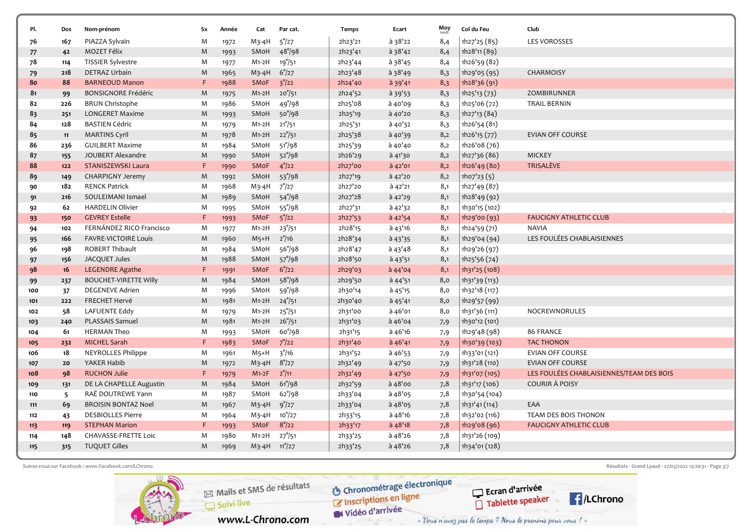| PI.             | Dos   | Nom-prénom                   | Sx          | Année | Cat      | Par cat.            | Temps   | Ecart           | Moy<br>km/h | Col du Feu    | Club                                     |
|-----------------|-------|------------------------------|-------------|-------|----------|---------------------|---------|-----------------|-------------|---------------|------------------------------------------|
| 76              | 167   | PIAZZA Sylvain               | M           | 1972  | M3-4H    | 5°/27               | 2h23'21 | à 38'22         | 8,4         | 1h27'25 (85)  | <b>LES VOROSSES</b>                      |
| 77              | 42    | MOZET Félix                  | M           | 1993  | SMoH     | 48°/98              | 2h23'41 | a38'42          | 8,4         | 1h28'11 (89)  |                                          |
| 78              | 114   | <b>TISSIER Sylvestre</b>     | M           | 1977  | $M1-2H$  | 19 <sup>°</sup> /51 | 2h23'44 | $a$ 38'45       | 8,4         | 1h26'59 (82)  |                                          |
| 79              | 218   | <b>DETRAZ Urbain</b>         | M           | 1965  | $M_3-4H$ | $6^{\circ}/27$      | 2h23'48 | à 38'49         | 8,3         | 1h29'05 (95)  | CHARMOISY                                |
| 80              | 88    | <b>BARNEOUD Manon</b>        | F           | 1988  | SMoF     | $3^{\circ}/22$      | 2h24'40 | $a$ 39'41       | 8,3         | 1h28'36 (91)  |                                          |
| 81              | 99    | <b>BONSIGNORE Frédéric</b>   | M           | 1975  | $M1-2H$  | $20^{\circ}/51$     | 2h24'52 | $a$ 39'53       | 8,3         | 1h25'13 (73)  | <b>ZOMBIRUNNER</b>                       |
| 82              | 226   | <b>BRUN Christophe</b>       | M           | 1986  | SMoH     | 49°/98              | 2h25'08 | à 40'09         | 8,3         | 1h25'06 (72)  | <b>TRAIL BERNIN</b>                      |
| 83              | 251   | <b>LONGERET Maxime</b>       | M           | 1993  | SMoH     | 50°/98              | 2h25'19 | à 40'20         | 8,3         | 1h27'13 (84)  |                                          |
| 84              | 128   | <b>BASTIEN Cédric</b>        | M           | 1979  | $M1-2H$  | $21^{\circ}/51$     | 2h25'31 | à 40'32         | 8,3         | 1h26'54 (81)  |                                          |
| 85              | 11    | <b>MARTINS Cyril</b>         | M           | 1978  | $M1-2H$  | $22^{\circ}/51$     | 2h25'38 | à 40'39         | 8,2         | 1h26'15 (77)  | <b>EVIAN OFF COURSE</b>                  |
| 86              | 236   | <b>GUILBERT Maxime</b>       | M           | 1984  | SMoH     | $51^{9}/98$         | 2h25'39 | à 40'40         | 8,2         | 1h26'08 (76)  |                                          |
| 87              | 155   | JOUBERT Alexandre            | M           | 1990  | SMoH     | 52°/98              | 2h26'29 | à 41'30         | 8,2         | 1h27'36 (86)  | <b>MICKEY</b>                            |
| 88              | $122$ | STANISZEWSKI Laura           | F           | 1990  | SMoF     | $4^{\circ}/22$      | 2h27'00 | $a$ 42'01       | 8,2         | 1h26'49 (80)  | TRISALÈVE                                |
| 89              | 149   | <b>CHARPIGNY Jeremy</b>      | M           | 1992  | SMoH     | 53°/98              | 2h27'19 | $a$ 42'20       | 8,2         | 1h07'23(5)    |                                          |
| 90              | 182   | <b>RENCK Patrick</b>         | M           | 1968  | M3-4H    | $7^\circ/27$        | 2h27'20 | à 42'21         | 8,1         | 1h27'49 (87)  |                                          |
| 91              | 216   | SOULEIMANI Ismael            | M           | 1989  | SMoH     | 54°/98              | 2h27'28 | $a$ 42'29       | 8,1         | 1h28'49 (92)  |                                          |
| 92              | 62    | <b>HARDELIN Olivier</b>      | M           | 1995  | SMoH     | 55°/98              | 2h27'31 | à 42'32         | 8,1         | 1h30'15 (102) |                                          |
| 93              | 150   | <b>GEVREY Estelle</b>        | F           | 1993  | SMoF     | $5^{\circ}/22$      | 2h27'53 | à 42'54         | 8,1         | 1h29'00 (93)  | <b>FAUCIGNY ATHLETIC CLUB</b>            |
| 94              | 102   | FERNÁNDEZ RICO Francisco     | M           | 1977  | $M1-2H$  | $23^{\circ}/51$     | 2h28'15 | à 43'16         | 8,1         | 1h24'59 (71)  | <b>NAVIA</b>                             |
| 95              | 166   | <b>FAVRE-VICTOIRE Louis</b>  | M           | 1960  | $M5+H$   | $2^\circ/16$        | 2h28'34 | $a$ 43'35       | 8,1         | 1h29'04 (94)  | LES FOULÉES CHABLAISIENNES               |
| 96              | 198   | ROBERT Thibault              | M           | 1984  | SMoH     | 56°/98              | 2h28'47 | $a$ 43'48       | 8,1         | 1h29'26 (97)  |                                          |
| 97              | 156   | JACQUET Jules                | $M_{\odot}$ | 1988  | SMoH     | 57°/98              | 2h28'50 | $a$ 43'51       | 8,1         | 1h25'56 (74)  |                                          |
| 98              | 16    | <b>LEGENDRE Agathe</b>       | F           | 1991  | SMoF     | $6^{\circ}/22$      | 2h29'03 | $a$ 44'04       | 8,1         | 1h31'25 (108) |                                          |
| 99              | 237   | <b>BOUCHET-VIRETTE Willy</b> | M           | 1984  | SMoH     | 58°/98              | 2h29'50 | $a$ 44'51       | 8,0         | 1h31'39 (113) |                                          |
| 100             | 37    | <b>DEGENEVE Adrien</b>       | M           | 1996  | SMoH     | 59°/98              | 2h30'14 | $a$ 45'15       | 8,0         | 1h32'18 (117) |                                          |
| 101             | 222   | FRECHET Hervé                | M           | 1981  | $M1-2H$  | $24^{\degree}/51$   | 2h30'40 | à 45'41         | 8,0         | 1h29'57 (99)  |                                          |
| 102             | 58    | LAFUENTE Eddy                | M           | 1979  | $M1-2H$  | $25^{\circ}/51$     | 2h31'00 | $a$ 46'01       | 8,0         | 1h31'36 (111) | NOCREWNORULES                            |
| 103             | 240   | PLASSAIS Samuel              | M           | 1981  | $M1-2H$  | $26^{\circ}/51$     | 2h31'03 | $a$ 46'04       | 7,9         | 1h30'12 (101) |                                          |
| 104             | 61    | <b>HERMAN Theo</b>           | M           | 1993  | SMoH     | 60°/98              | 2h31'15 | à 46'16         | 7,9         | 1h29'48 (98)  | 86 FRANCE                                |
| 10 <sub>5</sub> | 232   | <b>MICHEL Sarah</b>          | F           | 1983  | SMoF     | $7^{\circ}/22$      | 2h31'40 | $a$ 46'41       | 7,9         | 1h30'39 (103) | <b>TAC THONON</b>                        |
| 106             | 18    | NEYROLLES Philippe           | M           | 1961  | M5+H     | $3^{\circ}/16$      | 2h31'52 | $a$ 46'53       | 7,9         | 1h33'01 (121) | <b>EVIAN OFF COURSE</b>                  |
| 107             | 20    | YAKER Habib                  | $M_{\odot}$ | 1972  | $M_3-4H$ | $8^{\circ}/27$      | 2h32'49 | à 47'50         | 7,9         | 1h31'28 (110) | <b>EVIAN OFF COURSE</b>                  |
| 108             | 98    | <b>RUCHON Julie</b>          | F           | 1979  | $M1-2F$  | $2^{\circ}/11$      | 2h32'49 | $\hat{a}$ 47'50 | 7,9         | 1h31'07 (105) | LES FOULÉES CHABLAISIENNES/TEAM DES BOIS |
| 109             | 131   | DE LA CHAPELLE Augustin      | $M_{\odot}$ | 1984  | SMoH     | $61^{\circ}/98$     | 2h32'59 | $a$ 48'00       | 7,8         | 1h31'17 (106) | <b>COURIR À POISY</b>                    |
| 110             | -5    | RAË DOUTREWE Yann            | M           | 1987  | SMoH     | $62^{\circ}/98$     | 2h33'04 | $a$ 48'05       | 7,8         | 1h30'54 (104) |                                          |
| 111             | 69    | <b>BROISIN BONTAZ Noel</b>   | M           | 1967  | $M_3-4H$ | 9°/27               | 2h33'04 | $a$ 48'05       | 7,8         | 1h31'41 (114) | EAA                                      |
| 112             | 43    | <b>DESBIOLLES Pierre</b>     | M           | 1964  | M3-4H    | $10^{o}/27$         | 2h33'15 | à 48'16         | 7,8         | 1h32'02 (116) | TEAM DES BOIS THONON                     |
| 113             | 119   | <b>STEPHAN Marion</b>        | F           | 1993  | SMoF     | $8^{\circ}/22$      | 2h33'17 | $a$ 48'18       | 7,8         | 1h29'08 (96)  | <b>FAUCIGNY ATHLETIC CLUB</b>            |
| 114             | 148   | CHAVASSE-FRETTE Loic         | M           | 1980  | $M1-2H$  | $27^{\circ}/51$     | 2h33'25 | à 48'26         | 7,8         | 1h31'26 (109) |                                          |
| 115             | 315   | <b>TUQUET Gilles</b>         | M           | 1969  | $M_3-4H$ | $11^{\circ}/27$     | 2h33'25 | $a$ 48'26       | 7,8         | 1h34'01 (128) |                                          |
|                 |       |                              |             |       |          |                     |         |                 |             |               |                                          |

Suivez-nous sur Facebook : www.Facebook.com/LChrono  $\frac{3!}{2!}$  rage 3/7

**E**/LChrono



**S** Chronométrage électronique Widéo d'arrivée

« Vous n'avez pas le temps ? Nous le prenons pour vous ! »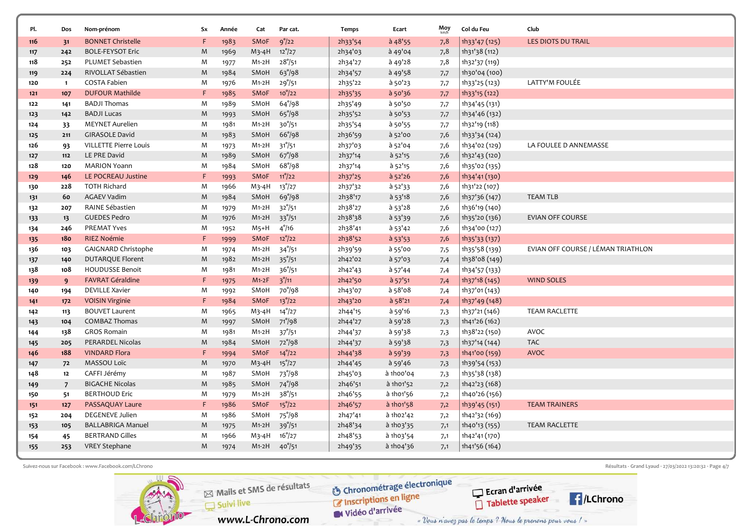| Pl.   | Dos            | Nom-prénom                 | Sx          | Année | Cat         | Par cat.            | Temps   | Ecart                | $Moy$ <sub>km/h</sub> | Col du Feu    | Club                               |
|-------|----------------|----------------------------|-------------|-------|-------------|---------------------|---------|----------------------|-----------------------|---------------|------------------------------------|
| 116   | 31             | <b>BONNET Christelle</b>   | F.          | 1983  | <b>SMoF</b> | 9°/22               | 2h33'54 | $a$ 48'55            | 7,8                   | 1h33'47 (125) | <b>LES DIOTS DU TRAIL</b>          |
| 117   | 242            | <b>BOLE-FEYSOT Eric</b>    | M           | 1969  | $M3-4H$     | $12^{\circ}/27$     | 2h34'03 | $a$ 49'04            | 7,8                   | 1h31'38 (112) |                                    |
| 118   | 252            | PLUMET Sebastien           | M           | 1977  | M1-2H       | $28^{\circ}/51$     | 2h34'27 | à 49'28              | 7,8                   | 1h32'37 (119) |                                    |
| 119   | 224            | RIVOLLAT Sébastien         | M           | 1984  | SMoH        | $63^{\circ}/98$     | 2h34'57 | à 49'58              | 7,7                   | 1h30'04 (100) |                                    |
| 120   | $\mathbf{1}$   | COSTA Fabien               | M           | 1976  | $M1-2H$     | $29^{\circ}/51$     | 2h35'22 | à 50'23              | 7,7                   | 1h33'25 (123) | LATTY'M FOULÉE                     |
| 121   | 107            | <b>DUFOUR Mathilde</b>     | F.          | 1985  | SMoF        | $10^{\circ}/22$     | 2h35'35 | $a$ 50'36            | 7,7                   | 1h33'15 (122) |                                    |
| $122$ | 141            | <b>BADJI Thomas</b>        | M           | 1989  | SMoH        | $64^{\circ}/98$     | 2h35'49 | à 50'50              | 7,7                   | 1h34'45 (131) |                                    |
| 123   | 142            | <b>BADJI Lucas</b>         | M           | 1993  | SMoH        | 65°/98              | 2h35'52 | $a$ 50'53            | 7,7                   | 1h34'46 (132) |                                    |
| 124   | 33             | <b>MEYNET Aurelien</b>     | M           | 1981  | $M1-2H$     | $30^{\circ}/51$     | 2h35'54 | à 50'55              | 7,7                   | 1h32'19 (118) |                                    |
| 125   | 211            | <b>GIRASOLE David</b>      | M           | 1983  | SMoH        | 66°/98              | 2h36'59 | à 52'00              | 7,6                   | 1h33'34 (124) |                                    |
| 126   | 93             | VILLETTE Pierre Louis      | M           | 1973  | $M1-2H$     | $31^{\circ}/51$     | 2h37'03 | à 52'04              | 7,6                   | 1h34'02 (129) | LA FOULEE D ANNEMASSE              |
| 127   | $112$          | LE PRE David               | M           | 1989  | SMoH        | $67^{\circ}/98$     | 2h37'14 | à 52'15              | 7,6                   | 1h32'43 (120) |                                    |
| 128   | 120            | <b>MARION Yoann</b>        | M           | 1984  | SMoH        | $68^{\circ}/98$     | 2h37'14 | à 52'15              | 7,6                   | 1h35'02 (135) |                                    |
| 129   | 146            | LE POCREAU Justine         | F.          | 1993  | SMoF        | $11^{\circ}/22$     | 2h37'25 | $a_{52'26}$          | 7,6                   | 1h34'41 (130) |                                    |
| 130   | 228            | <b>TOTH Richard</b>        | M           | 1966  | M3-4H       | $13^{\circ}/27$     | 2h37'32 | à 52'33              | 7,6                   | 1h31'22 (107) |                                    |
| 131   | 60             | <b>AGAEV Vadim</b>         | M           | 1984  | SMoH        | 69°/98              | 2h38'17 | $a$ 53'18            | 7,6                   | 1h37'36 (147) | <b>TEAM TLB</b>                    |
| 132   | 207            | RAINE Sébastien            | M           | 1979  | $M1-2H$     | $32^{\circ}/51$     | 2h38'27 | à 53'28              | 7,6                   | 1h36'19 (140) |                                    |
| 133   | 13             | <b>GUEDES Pedro</b>        | M           | 1976  | $M1-2H$     | $33^{\circ}/51$     | 2h38'38 | à 53'39              | 7,6                   | 1h35'20 (136) | <b>EVIAN OFF COURSE</b>            |
| 134   | 246            | <b>PREMAT Yves</b>         | M           | 1952  | $M5+H$      | $4^{\circ}/16$      | 2h38'41 | à 53'42              | 7,6                   | 1h34'00 (127) |                                    |
| 135   | 180            | RIEZ Noémie                | $\mathsf F$ | 1999  | SMoF        | $12^{\circ}/22$     | 2h38'52 | $a$ 53'53            | 7,6                   | 1h35'33 (137) |                                    |
| 136   | 103            | <b>GAIGNARD Christophe</b> | M           | 1974  | M1-2H       | $34^{\circ}/51$     | 2h39'59 | à 55'00              | 7,5                   | 1h35'58 (139) | EVIAN OFF COURSE / LÉMAN TRIATHLON |
| 137   | 140            | <b>DUTARQUE Florent</b>    | M           | 1982  | $M1-2H$     | $35^{\circ}/51$     | 2h42'02 | à 57'03              | 7,4                   | 1h38'08 (149) |                                    |
| 138   | 108            | HOUDUSSE Benoit            | M           | 1981  | $M1-2H$     | 36°/51              | 2h42'43 | à 57'44              | 7,4                   | 1h34'57 (133) |                                    |
| 139   | 9              | <b>FAVRAT Géraldine</b>    | F           | 1975  | $M1-2F$     | $3^{\circ}/11$      | 2h42'50 | à 57'51              | 7,4                   | 1h37'18 (145) | <b>WIND SOLES</b>                  |
| 140   | 194            | <b>DEVILLE Xavier</b>      | M           | 1992  | SMoH        | 70°/98              | 2h43'07 | à 58'08              | 7,4                   | 1h37'01 (143) |                                    |
| 141   | 172            | <b>VOISIN Virginie</b>     | F           | 1984  | SMoF        | $13^{\circ}/22$     | 2h43'20 | $a$ 58'21            | 7,4                   | 1h37'49 (148) |                                    |
| 142   | 113            | <b>BOUVET Laurent</b>      | M           | 1965  | M3-4H       | $14^{\circ}/27$     | 2h44'15 | à 59'16              | 7,3                   | 1h37'21 (146) | <b>TEAM RACLETTE</b>               |
| 143   | 104            | COMBAZ Thomas              | M           | 1997  | SMoH        | 71°/98              | 2h44'27 | à 59'28              | 7,3                   | 1h41'26 (162) |                                    |
| 144   | 138            | <b>GROS Romain</b>         | M           | 1981  | $M1-2H$     | $37^{\circ}/51$     | 2h44'37 | à 59'38              | 7,3                   | 1h38'22 (150) | <b>AVOC</b>                        |
| 145   | 205            | PERARDEL Nicolas           | M           | 1984  | SMoH        | 72°/98              | 2h44'37 | à 59'38              | 7,3                   | 1h37'14 (144) | <b>TAC</b>                         |
| 146   | 188            | <b>VINDARD Flora</b>       | F           | 1994  | SMoF        | $14^{\circ}/22$     | 2h44'38 | $a$ 59'39            | 7,3                   | 1h41'00 (159) | <b>AVOC</b>                        |
| 147   | 72             | MASSOU Loïc                | M           | 1970  | $M_3-4H$    | $15^{\circ}/27$     | 2h44'45 | à 59'46              | 7,3                   | 1h39'54 (153) |                                    |
| 148   | 12             | CAFFI Jérémy               | M           | 1987  | SMoH        | 73 <sup>°</sup> /98 | 2h45'03 | à 1hoo'o4            | 7,3                   | 1h35'38 (138) |                                    |
| 149   | $\overline{7}$ | <b>BIGACHE Nicolas</b>     | M           | 1985  | SMoH        | 74°/98              | 2h46'51 | à 1h01'52            | 7,2                   | 1h42'23 (168) |                                    |
| 150   | 51             | <b>BERTHOUD Eric</b>       | M           | 1979  | M1-2H       | $38^{\circ}/51$     | 2h46'55 | à 1h01'56            | 7,2                   | 1h40'26 (156) |                                    |
| 151   | 127            | PASSAQUAY Laure            | F           | 1986  | SMoF        | $15^{\circ}/22$     | 2h46'57 | à 1h01'58            | 7,2                   | 1h39'45 (151) | <b>TEAM TRAINERS</b>               |
| 152   | 204            | <b>DEGENEVE Julien</b>     | M           | 1986  | SMoH        | 75°/98              | 2h47'41 | à 1h02'42            | 7,2                   | 1h42'32 (169) |                                    |
| 153   | 105            | <b>BALLABRIGA Manuel</b>   | M           | 1975  | $M1-2H$     | 39°/51              | 2h48'34 | $\hat{a}$ 1h03 $'35$ | 7,1                   | 1h40'13 (155) | <b>TEAM RACLETTE</b>               |
| 154   | 45             | <b>BERTRAND Gilles</b>     | M           | 1966  | M3-4H       | $16^{\circ}/27$     | 2h48'53 | à 1h03'54            | 7,1                   | 1h42'41 (170) |                                    |
| 155   | 253            | <b>VREY Stephane</b>       | M           | 1974  | $M1-2H$     | $40^{\circ}/51$     | 2h49'35 | à 1h04'36            | 7,1                   | 1h41'56 (164) |                                    |
|       |                |                            |             |       |             |                     |         |                      |                       |               |                                    |

Suivez-nous sur Facebook : www.Facebook.com/LChrono  $\mathbb{R}^2$  and  $\mathbb{R}^2$  and  $\mathbb{R}^2$  and  $\mathbb{R}^2$  and  $\mathbb{R}^2$  and  $\mathbb{R}^2$  and  $\mathbb{R}^2$  and  $\mathbb{R}^2$  and  $\mathbb{R}^2$  and  $\mathbb{R}^2$  and  $\mathbb{R}^2$  and  $\mathbb{$ 

**E**/LChrono



**S** Chronométrage électronique « Vous n'avez pas le temps ? Nous le prenons pour vous ! »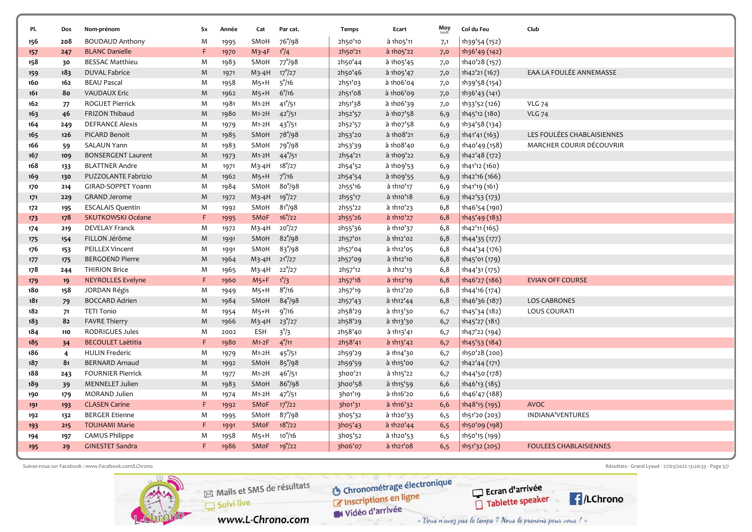| Pl.             | Dos | Nom-prénom                | Sx          | Année | Cat        | Par cat.          | Temps   | Ecart             | Moy | Col du Feu    | Club                          |
|-----------------|-----|---------------------------|-------------|-------|------------|-------------------|---------|-------------------|-----|---------------|-------------------------------|
| 156             | 208 | <b>BOUDAUD Anthony</b>    | M           | 1995  | SMoH       | 76°/98            | 2h50'10 | à 1h05'11         | 7,1 | 1h39'54 (152) |                               |
| 157             | 247 | <b>BLANC Danielle</b>     | F           | 1970  | $M3-4F$    | $1^{\circ}/4$     | 2h50'21 | à 1h05'22         | 7,0 | 1h36'49 (142) |                               |
| 158             | 30  | <b>BESSAC Matthieu</b>    | M           | 1983  | SMoH       | 77°/98            | 2h50'44 | à 1h05'45         | 7,0 | 1h40'28 (157) |                               |
| 159             | 183 | <b>DUVAL Fabrice</b>      | M           | 1971  | $M_3-4H$   | $17^{\circ}/27$   | 2h50'46 | à 1h05'47         | 7,0 | 1h42'21 (167) | EAA LA FOULÉE ANNEMASSE       |
| 160             | 162 | <b>BEAU Pascal</b>        | M           | 1958  | $M5+H$     | $5^{\circ}/16$    | 2h51'03 | à 1h06'04         | 7,0 | 1h39'58 (154) |                               |
| 161             | 80  | <b>VAUDAUX Eric</b>       | M           | 1962  | $M5+H$     | $6^{\circ}/16$    | 2h51'08 | à 1h06'09         | 7,0 | 1h36'43 (141) |                               |
| 162             | 77  | <b>ROGUET Pierrick</b>    | M           | 1981  | $M1-2H$    | $41^{\circ}/51$   | 2h51'38 | à 1h06'39         | 7,0 | 1h33'52 (126) | <b>VLG 74</b>                 |
| 16 <sub>3</sub> | 46  | FRIZON Thibaud            | M           | 1980  | $M1-2H$    | $42^{\circ}/51$   | 2h52'57 | à 1ho7'58         | 6,9 | 1h45'12 (180) | <b>VLG 74</b>                 |
| 164             | 249 | <b>DEFRANCE Alexis</b>    | M           | 1979  | $M1-2H$    | $43^{\circ}/51$   | 2h52'57 | à 1ho7'58         | 6,9 | 1h34'58 (134) |                               |
| 165             | 126 | PICARD Benoit             | M           | 1985  | SMoH       | 78°/98            | 2h53'20 | à 1h08'21         | 6,9 | 1h41'41 (163) | LES FOULÉES CHABLAISIENNES    |
| 166             | 59  | SALAUN Yann               | M           | 1983  | SMoH       | 79°/98            | 2h53'39 | à 1h08'40         | 6,9 | 1h40'49 (158) | MARCHER COURIR DÉCOUVRIR      |
| 167             | 109 | <b>BONSERGENT Laurent</b> | M           | 1973  | $M1-2H$    | $44^{\degree}/51$ | 2h54'21 | à 1h09'22         | 6,9 | 1h42'48 (172) |                               |
| 168             | 133 | <b>BLATTNER Andre</b>     | M           | 1971  | $M_3-4H$   | $18^{\circ}/27$   | 2h54'52 | à 1h09'53         | 6,9 | 1h41'12 (160) |                               |
| 169             | 130 | PUZZOLANTE Fabrizio       | M           | 1962  | $M5+H$     | $7^{\circ}/16$    | 2h54'54 | à 1h09'55         | 6,9 | 1h42'16 (166) |                               |
| 170             | 214 | GIRAD-SOPPET Yoann        | M           | 1984  | SMoH       | 80°/98            | 2h55'16 | à 1h10'17         | 6,9 | 1h41'19 (161) |                               |
| 171             | 229 | <b>GRAND Jerome</b>       | M           | 1972  | $M_3-4H$   | 19°/27            | 2h55'17 | à 1h10'18         | 6,9 | 1h42'53 (173) |                               |
| 172             | 195 | <b>ESCALAIS Quentin</b>   | M           | 1992  | SMoH       | $81^{\circ}/98$   | 2h55'22 | à 1h10'23         | 6,8 | 1h46'54 (190) |                               |
| 173             | 178 | SKUTKOWSKI Océane         | $\mathsf F$ | 1995  | SMoF       | $16^{\circ}/22$   | 2h55'26 | à 1h10'27         | 6,8 | 1h45'49 (183) |                               |
| 174             | 219 | <b>DEVELAY Franck</b>     | M           | 1972  | M3-4H      | $20^{\circ}/27$   | 2h55'36 | à 1h10'37         | 6,8 | 1h42'11 (165) |                               |
| 175             | 154 | FILLON Jérôme             | M           | 1991  | SMoH       | $82^{\circ}/98$   | 2h57'01 | à 1h12'02         | 6,8 | 1h44'35 (177) |                               |
| 176             | 153 | PEILLEX Vincent           | M           | 1991  | SMoH       | 83%98             | 2h57'04 | à 1h12'05         | 6,8 | 1h44'34 (176) |                               |
| 177             | 175 | <b>BERGOEND Pierre</b>    | M           | 1964  | $M_3-4H$   | $21^{\circ}/27$   | 2h57'09 | à 1h12'10         | 6,8 | 1h45'01 (179) |                               |
| 178             | 244 | <b>THIRION Brice</b>      | M           | 1965  | M3-4H      | $22^\circ/27$     | 2h57'12 | à 1h12'13         | 6,8 | 1h44'31 (175) |                               |
| 179             | 19  | <b>NEYROLLES Evelyne</b>  | F.          | 1960  | $M5+F$     | $1^{\circ}/3$     | 2h57'18 | à 1h12'19         | 6,8 | 1h46'27 (186) | <b>EVIAN OFF COURSE</b>       |
| 180             | 158 | JORDAN Régis              | M           | 1949  | $M5+H$     | $8^{\circ}/16$    | 2h57'19 | à 1h12'20         | 6,8 | 1h44'16 (174) |                               |
| 181             | 79  | <b>BOCCARD Adrien</b>     | M           | 1984  | SMoH       | $84^{\circ}/98$   | 2h57'43 | à 1h12'44         | 6,8 | 1h46'36 (187) | <b>LOS CABRONES</b>           |
| 182             | 71  | <b>TETI Tonio</b>         | M           | 1954  | $M5+H$     | $9^{\circ}/16$    | 2h58'29 | à 1h13'30         | 6,7 | 1h45'34 (182) | LOUS COURATI                  |
| 18 <sub>3</sub> | 82  | <b>FAVRE Thierry</b>      | M           | 1966  | $M_3-4H$   | $23^{\circ}/27$   | 2h58'29 | à 1h13'30         | 6,7 | 1h45'27 (181) |                               |
| 184             | 110 | <b>RODRIGUES Jules</b>    | M           | 2002  | <b>ESH</b> | $3^{\circ}/3$     | 2h58'40 | à 1h13'41         | 6,7 | 1h47'22 (194) |                               |
| 18 <sub>5</sub> | 34  | <b>BECOULET Laëtitia</b>  | F.          | 1980  | $M1-2F$    | $4^{\circ}/11$    | 2h58'41 | $\hat{a}$ 1h13'42 | 6,7 | 1h45'53 (184) |                               |
| 186             | 4   | <b>HULIN Frederic</b>     | M           | 1979  | $M1-2H$    | $45^{\circ}/51$   | 2h59'29 | à 1h14'30         | 6,7 | 1h50'28 (200) |                               |
| 187             | 81  | <b>BERNARD Arnaud</b>     | M           | 1992  | SMoH       | 85°/98            | 2h59'59 | à 1h15'00         | 6,7 | 1h42'44 (171) |                               |
| 188             | 243 | <b>FOURNIER Pierrick</b>  | M           | 1977  | $M1-2H$    | $46^{\circ}/51$   | 3hoo'21 | à 1h15'22         | 6,7 | 1h44'50 (178) |                               |
| 189             | 39  | <b>MENNELET Julien</b>    | M           | 1983  | SMoH       | 86°/98            | 3hoo'58 | à 1h15'59         | 6,6 | 1h46'13 (185) |                               |
| 190             | 179 | MORAND Julien             | M           | 1974  | $M1-2H$    | $47^{\circ}/51$   | 3h01'19 | à 1h16'20         | 6,6 | 1h46'47 (188) |                               |
| 191             | 193 | <b>CLASEN Carine</b>      | F           | 1992  | SMoF       | $17^{\circ}/22$   | 3h01'31 | à 1h16'32         | 6,6 | 1h48'15 (195) | <b>AVOC</b>                   |
| 192             | 132 | <b>BERGER Etienne</b>     | M           | 1995  | SMoH       | $87^{\circ}/98$   | 3h05'32 | à 1h20'33         | 6,5 | 1h51'20 (203) | INDIANA'VENTURES              |
| 193             | 215 | <b>TOUHAMI Marie</b>      | F.          | 1991  | SMoF       | $18^{\circ}/22$   | 3h05'43 | à 1h20'44         | 6,5 | 1h50'09 (198) |                               |
| 194             | 197 | CAMUS Philippe            | M           | 1958  | $M5+H$     | $10^{\circ}/16$   | 3h05'52 | à 1h20'53         | 6,5 | 1h50'15 (199) |                               |
| 195             | 29  | <b>GINESTET Sandra</b>    | F           | 1986  | SMoF       | 19°/22            | 3h06'07 | à 1h21'08         | 6,5 | 1h51'32 (205) | <b>FOULEES CHABLAISIENNES</b> |
|                 |     |                           |             |       |            |                   |         |                   |     |               |                               |

Suivez-nous sur Facebook : www.Facebook.com/LChrono  $\frac{S_1}{S_2}$  rage  $\frac{1}{2}$  rage  $\frac{1}{2}$ 

**E**/LChrono



**S** Chronométrage électronique Widéo d'arrivée

« Vous n'avez pas le temps ? Nous le prenons pour vous ! »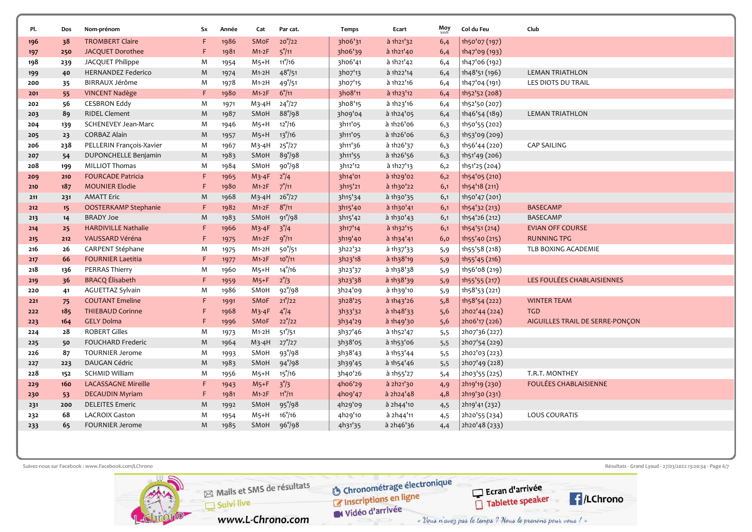| Pl. | Dos | Nom-prénom                 | Sx | Année | Cat         | Par cat.            | Temps   | Ecart       | Moy | Col du Feu    | Club                            |
|-----|-----|----------------------------|----|-------|-------------|---------------------|---------|-------------|-----|---------------|---------------------------------|
| 196 | 38  | <b>TROMBERT Claire</b>     | F  | 1986  | <b>SMoF</b> | $20^{\circ}/22$     | 3h06'31 | à 1h21'32   | 6,4 | 1h50'07 (197) |                                 |
| 197 | 250 | JACQUET Dorothee           | F  | 1981  | $M1-2F$     | $5^{\circ}/11$      | 3ho6'39 | à 1h21'40   | 6,4 | 1h47'09 (193) |                                 |
| 198 | 239 | JACQUET Philippe           | M  | 1954  | $M5+H$      | $11^{\circ}/16$     | 3h06'41 | à 1h21'42   | 6,4 | 1h47'06 (192) |                                 |
| 199 | 40  | <b>HERNANDEZ Federico</b>  | M  | 1974  | $M1-2H$     | $48^{\circ}/51$     | 3ho7'13 | à 1h22'14   | 6,4 | 1h48'51 (196) | <b>LEMAN TRIATHLON</b>          |
| 200 | 35  | BIRRAUX Jérôme             | M  | 1978  | $M1-2H$     | 49°/51              | 3ho7'15 | à 1h22'16   | 6,4 | 1h47'04 (191) | LES DIOTS DU TRAIL              |
| 201 | 55  | <b>VINCENT Nadège</b>      | F. | 1980  | $M1-2F$     | $6^{\circ}/11$      | 3ho8'11 | à 1h23'12   | 6,4 | 1h52'52 (208) |                                 |
| 202 | 56  | <b>CESBRON Eddy</b>        | M  | 1971  | $M_3-4H$    | $24^{\circ}/27$     | 3ho8'15 | à 1h23'16   | 6,4 | 1h52'50 (207) |                                 |
| 203 | 89  | <b>RIDEL Clement</b>       | M  | 1987  | SMoH        | 88°/98              | 3h09'04 | à 1h24'05   | 6,4 | 1h46'54 (189) | <b>LEMAN TRIATHLON</b>          |
| 204 | 139 | <b>SCHENEVEY Jean-Marc</b> | M  | 1946  | $M5+H$      | $12^{\circ}/16$     | 3h11'05 | à 1h26'06   | 6,3 | 1h50'55 (202) |                                 |
| 205 | 23  | <b>CORBAZ Alain</b>        | M  | 1957  | $M5+H$      | $13^{\circ}/16$     | 3h11'05 | à 1h26'06   | 6,3 | 1h53'09 (209) |                                 |
| 206 | 238 | PELLERIN François-Xavier   | M  | 1967  | $M_3-4H$    | $25^\circ/27$       | 3h11'36 | à 1h26'37   | 6,3 | 1h56'44 (220) | <b>CAP SAILING</b>              |
| 207 | 54  | DUPONCHELLE Benjamin       | M  | 1983  | SMoH        | 89°/98              | 3h11'55 | à 1h26'56   | 6,3 | 1h51'49 (206) |                                 |
| 208 | 199 | MILLIOT Thomas             | M  | 1984  | SMoH        | 90°/98              | 3h12'12 | à 1h27'13   | 6,2 | 1h51'25 (204) |                                 |
| 209 | 210 | <b>FOURCADE Patricia</b>   | F. | 1965  | $M3-4F$     | $2^{\circ}/4$       | 3h14'01 | à 1h29'02   | 6,2 | 1h54'05 (210) |                                 |
| 210 | 187 | <b>MOUNIER Elodie</b>      | F  | 1980  | $M1-2F$     | $7^{\circ}/11$      | 3h15'21 | à 1h30'22   | 6,1 | 1h54'18 (211) |                                 |
| 211 | 231 | <b>AMATT Eric</b>          | M  | 1968  | $M_3-4H$    | $26^{\circ}/27$     | 3h15'34 | à 1h30'35   | 6,1 | 1h50'47 (201) |                                 |
| 212 | 15  | OOSTERKAMP Stephanie       | F  | 1982  | $M1-2F$     | $8^{\circ}/11$      | 3h15'40 | à 1h30'41   | 6,1 | 1h54'32 (213) | <b>BASECAMP</b>                 |
| 213 | 14  | <b>BRADY Joe</b>           | M  | 1983  | SMoH        | 91°/98              | 3h15'42 | à 1h30'43   | 6,1 | 1h54'26 (212) | <b>BASECAMP</b>                 |
| 214 | 25  | <b>HARDIVILLE Nathalie</b> | F  | 1966  | $M3-4F$     | $3^{\circ}/4$       | 3h17'14 | $a$ 1h32'15 | 6,1 | 1h54'51 (214) | <b>EVIAN OFF COURSE</b>         |
| 215 | 212 | VAUSSARD Véréna            | F  | 1975  | $M1-2F$     | 9°/11               | 3h19'40 | à 1h34'41   | 6,0 | 1h55'40 (215) | <b>RUNNING TPG</b>              |
| 216 | 26  | CARPENT Stéphane           | M  | 1975  | M1-2H       | $50^{\circ}/51$     | 3h22'32 | à 1h37'33   | 5,9 | 1h55'58 (218) | TLB BOXING ACADEMIE             |
| 217 | 66  | <b>FOURNIER Laetitia</b>   | F. | 1977  | $M1-2F$     | $10^{\circ}/11$     | 3h23'18 | à 1h38'19   | 5,9 | 1h55'45 (216) |                                 |
| 218 | 136 | PERRAS Thierry             | M  | 1960  | $M5+H$      | $14^{\circ}/16$     | 3h23'37 | à 1h38'38   | 5,9 | 1h56'08 (219) |                                 |
| 219 | 36  | <b>BRACQ</b> Élisabeth     | F. | 1959  | $M5+F$      | $2^{\circ}/3$       | 3h23'38 | à 1h38'39   | 5,9 | 1h55'55 (217) | LES FOULÉES CHABLAISIENNES      |
| 220 | 41  | AGUETTAZ Sylvain           | M  | 1986  | SMoH        | $92^{\circ}/98$     | 3h24'09 | à 1h39'10   | 5,9 | 1h58'53 (221) |                                 |
| 221 | 75  | <b>COUTANT Emeline</b>     | F  | 1991  | SMoF        | $21^{\circ}/22$     | 3h28'25 | à 1h43'26   | 5,8 | 1h58'54 (222) | <b>WINTER TEAM</b>              |
| 222 | 185 | <b>THIEBAUD Corinne</b>    | F  | 1968  | $M3-4F$     | $4^{\circ}/4$       | 3h33'32 | $a$ 1h48'33 | 5,6 | 2ho2'44 (224) | <b>TGD</b>                      |
| 223 | 164 | <b>GELY Dolma</b>          | F  | 1996  | SMoF        | $22^{\circ}/22$     | 3h34'29 | à 1h49'30   | 5,6 | 2ho6'17 (226) | AIGUILLES TRAIL DE SERRE-PONÇON |
| 224 | 28  | <b>ROBERT Gilles</b>       | M  | 1973  | $M1-2H$     | $51^{\circ}/51$     | 3h37'46 | à 1h52'47   | 5,5 | 2ho7'36 (227) |                                 |
| 225 | 50  | <b>FOUCHARD Frederic</b>   | M  | 1964  | $M_3-4H$    | $27^\circ/27$       | 3h38'05 | à 1h53'06   | 5,5 | 2ho7'54 (229) |                                 |
| 226 | 87  | <b>TOURNIER Jerome</b>     | M  | 1993  | SMoH        | 93 <sup>°</sup> /98 | 3h38'43 | à 1h53'44   | 5,5 | 2ho2'03 (223) |                                 |
| 227 | 223 | DAUGAN Cédric              | M  | 1983  | SMoH        | 94°/98              | 3h39'45 | à 1h54'46   | 5,5 | 2ho7'49 (228) |                                 |
| 228 | 152 | <b>SCHMID William</b>      | M  | 1956  | $M5+H$      | $15^{\circ}/16$     | 3h40'26 | à 1h55'27   | 5,4 | 2h03'55 (225) | T.R.T. MONTHEY                  |
| 229 | 160 | <b>LACASSAGNE Mireille</b> | F  | 1943  | $M5+F$      | $3^{\circ}/3$       | 4ho6'29 | à 2h21'30   | 4,9 | 2h19'19 (230) | <b>FOULÉES CHABLAISIENNE</b>    |
| 230 | 53  | <b>DECAUDIN Myriam</b>     | F  | 1981  | $M1-2F$     | $11^{\circ}/11$     | 4ho9'47 | à 2h24'48   | 4,8 | 2h19'30 (231) |                                 |
| 231 | 200 | <b>DELEITES Emeric</b>     | M  | 1992  | SMoH        | 95°/98              | 4h29'09 | à 2h44'10   | 4,5 | 2h19'41 (232) |                                 |
| 232 | 68  | <b>LACROIX Gaston</b>      | M  | 1954  | $M5+H$      | $16^{\circ}/16$     | 4h29'10 | à 2h44'11   | 4,5 | 2h20'55 (234) | <b>LOUS COURATIS</b>            |
| 233 | 65  | <b>FOURNIER Jerome</b>     | M  | 1985  | SMoH        | 96°/98              | 4h31'35 | à 2h46'36   | 4,4 | 2h20'48 (233) |                                 |
|     |     |                            |    |       |             |                     |         |             |     |               |                                 |

Suivez-nous sur Facebook : www.Facebook.com/LChrono  $\mathcal{S}(a) = \frac{1}{2}$  and  $\mathcal{S}(a)$  and  $\mathcal{S}(a)$  and  $\mathcal{S}(a)$  and  $\mathcal{S}(a)$  and  $\mathcal{S}(a)$  and  $\mathcal{S}(a)$  and  $\mathcal{S}(a)$  and  $\mathcal{S}(a)$  and  $\mathcal{S}(a)$  and  $\mathcal{S}(a)$  a





Mails et SMS de résultats

www.L-Chrono.com

Suivi live

**E**/LChrono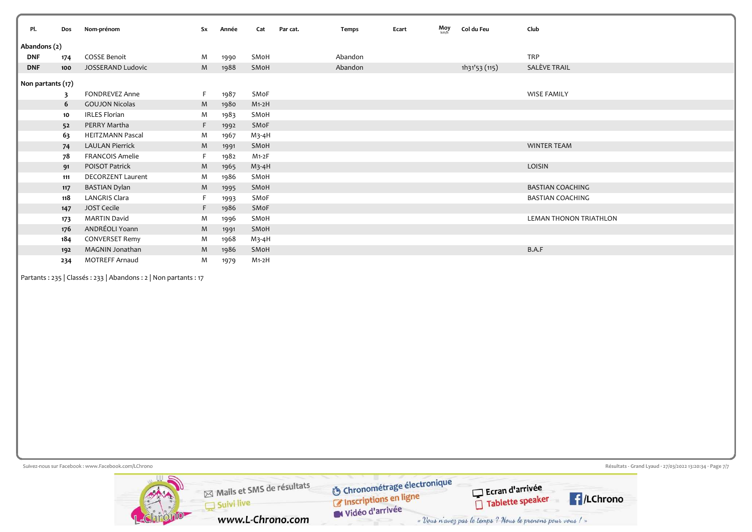| PI.               | Dos | Nom-prénom               | Sx | Année | Cat      | Par cat. | Temps   | Ecart | Moy<br>km/h | Col du Feu    | Club                    |
|-------------------|-----|--------------------------|----|-------|----------|----------|---------|-------|-------------|---------------|-------------------------|
| Abandons (2)      |     |                          |    |       |          |          |         |       |             |               |                         |
| <b>DNF</b>        | 174 | COSSE Benoit             | M  | 1990  | SMoH     |          | Abandon |       |             |               | <b>TRP</b>              |
| <b>DNF</b>        | 100 | JOSSERAND Ludovic        | M  | 1988  | SMoH     |          | Abandon |       |             | 1h31'53 (115) | SALÈVE TRAIL            |
| Non partants (17) |     |                          |    |       |          |          |         |       |             |               |                         |
|                   | 3   | <b>FONDREVEZ Anne</b>    | F. | 1987  | SMoF     |          |         |       |             |               | <b>WISE FAMILY</b>      |
|                   | 6   | <b>GOUJON Nicolas</b>    | M  | 1980  | $M1-2H$  |          |         |       |             |               |                         |
|                   | 10  | <b>IRLES Florian</b>     | M  | 1983  | SMoH     |          |         |       |             |               |                         |
|                   | 52  | PERRY Martha             | F  | 1992  | SMoF     |          |         |       |             |               |                         |
|                   | 63  | <b>HEITZMANN Pascal</b>  | M  | 1967  | $M_3-4H$ |          |         |       |             |               |                         |
|                   | 74  | <b>LAULAN Pierrick</b>   | M  | 1991  | SMoH     |          |         |       |             |               | <b>WINTER TEAM</b>      |
|                   | 78  | <b>FRANCOIS Amelie</b>   | F  | 1982  | $M1-2F$  |          |         |       |             |               |                         |
|                   | 91  | POISOT Patrick           | M  | 1965  | $M_3-4H$ |          |         |       |             |               | LOISIN                  |
|                   | 111 | <b>DECORZENT Laurent</b> | M  | 1986  | SMoH     |          |         |       |             |               |                         |
|                   | 117 | <b>BASTIAN Dylan</b>     | M  | 1995  | SMoH     |          |         |       |             |               | <b>BASTIAN COACHING</b> |
|                   | 118 | <b>LANGRIS Clara</b>     |    | 1993  | SMoF     |          |         |       |             |               | <b>BASTIAN COACHING</b> |
|                   | 147 | <b>JOST Cecile</b>       | F  | 1986  | SMoF     |          |         |       |             |               |                         |
|                   | 173 | <b>MARTIN David</b>      | M  | 1996  | SMoH     |          |         |       |             |               | LEMAN THONON TRIATHLON  |
|                   | 176 | ANDRÉOLI Yoann           | M  | 1991  | SMoH     |          |         |       |             |               |                         |
|                   | 184 | <b>CONVERSET Remy</b>    | M  | 1968  | M3-4H    |          |         |       |             |               |                         |
|                   | 192 | MAGNIN Jonathan          | M  | 1986  | SMoH     |          |         |       |             |               | B.A.F                   |
|                   | 234 | MOTREFF Arnaud           | M  | 1979  | M1-2H    |          |         |       |             |               |                         |

Partants : 235 | Classés : 233 | Abandons : 2 | Non partants : 17

Suivez-nous sur Facebook : www.Facebook.com/LChrono  $\frac{1}{2}$  rage 7/7 in Chronométrage électronique Mails et SMS de résultats Ecran d'arrivée<br> **17 Tablette speaker A**/LChrono Suivi live Widéo d'arrivée www.L-Chrono.com « Vous n'avez pas le temps ? Nous le prenons pour vous ! »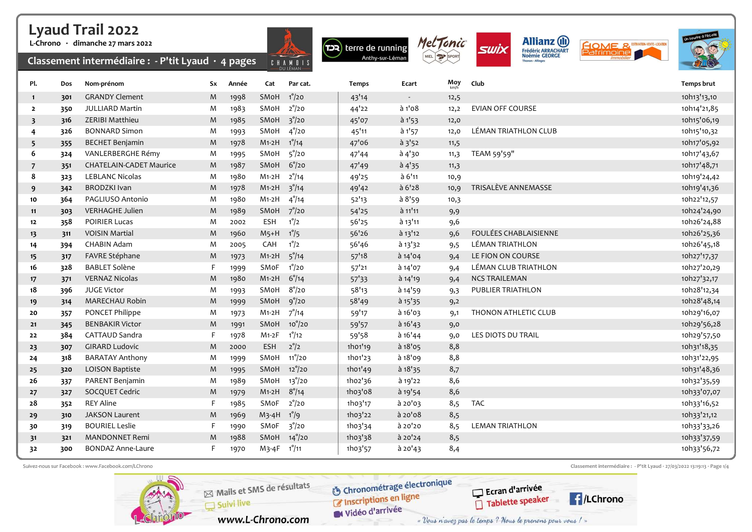### L-Chrono · dimanche 27 mars 2022

Classement intermédiaire : - P'tit Lyaud  $\cdot$  4 pages











| Pl.            | Dos | Nom-prénom                     | Sx | Année | Cat        | Par cat.         | Temps   | Ecart             | Moy<br>km/h | Club                         | Temps brut  |
|----------------|-----|--------------------------------|----|-------|------------|------------------|---------|-------------------|-------------|------------------------------|-------------|
| $\mathbf{1}$   | 301 | <b>GRANDY Clement</b>          | M  | 1998  | SMoH       | $1^{\circ}/20$   | 43'14   | $\sim$            | 12,5        |                              | 10h13'13,10 |
| $\overline{2}$ | 350 | JULLIARD Martin                | M  | 1983  | SMoH       | $2^{\circ}/20$   | 44'22   | a1'08             | 12,2        | <b>EVIAN OFF COURSE</b>      | 10h14'21,85 |
| 3              | 316 | ZERIBI Matthieu                | M  | 1985  | SMoH       | $3^{\circ}/20$   | 45'07   | a <sup>1</sup> 53 | 12,0        |                              | 10h15'06,19 |
| 4              | 326 | <b>BONNARD Simon</b>           | M  | 1993  | SMoH       | $4^{\circ}/20$   | 45'11   | à 1'57            | 12,0        | LÉMAN TRIATHLON CLUB         | 10h15'10,32 |
| 5              | 355 | <b>BECHET Benjamin</b>         | M  | 1978  | $M1-2H$    | $1^{\circ}/14$   | 47'06   | $a_{3'52}$        | 11,5        |                              | 10h17'05,92 |
| 6              | 324 | VANLERBERGHE Rémy              | M  | 1995  | SMoH       | $5^{\degree}/20$ | 47'44   | à 4'30            | 11,3        | TEAM 59'59"                  | 10h17'43,67 |
| 7              | 351 | <b>CHATELAIN-CADET Maurice</b> | M  | 1987  | SMoH       | $6^{\circ}/20$   | 47'49   | $a$ 4'35          | 11,3        |                              | 10h17'48,71 |
| 8              | 323 | <b>LEBLANC Nicolas</b>         | M  | 1980  | $M1-2H$    | $2^{\circ}/14$   | 49'25   | à 6'11            | 10,9        |                              | 10h19'24,42 |
| 9              | 342 | <b>BRODZKI</b> Ivan            | M  | 1978  | $M1-2H$    | $3^{\circ}/14$   | 49'42   | $a$ 6'28          | 10,9        | <b>TRISALÈVE ANNEMASSE</b>   | 10h19'41,36 |
| 10             | 364 | PAGLIUSO Antonio               | M  | 1980  | $M1-2H$    | $4^{\circ}/14$   | 52'13   | à 8'59            | 10,3        |                              | 10h22'12,57 |
| 11             | 303 | <b>VERHAGHE Julien</b>         | M  | 1989  | SMoH       | $7^\circ/20$     | 54'25   | à 11'11           | 9,9         |                              | 10h24'24,90 |
| 12             | 358 | <b>POIRIER Lucas</b>           | M  | 2002  | ESH        | $1^{\circ}/2$    | 56'25   | à 13'11           | 9,6         |                              | 10h26'24,88 |
| 13             | 311 | <b>VOISIN Martial</b>          | M  | 1960  | $M5+H$     | $1^{\circ}/5$    | 56'26   | à 13'12           | 9,6         | <b>FOULÉES CHABLAISIENNE</b> | 10h26'25,36 |
| 14             | 394 | <b>CHABIN Adam</b>             | M  | 2005  | CAH        | $1^{\circ}/2$    | 56'46   | à 13'32           | 9,5         | <b>LÉMAN TRIATHLON</b>       | 10h26'45,18 |
| 15             | 317 | FAVRE Stéphane                 | M  | 1973  | $M1-2H$    | $5^\circ/14$     | 57'18   | à 14'04           | 9,4         | LE FION ON COURSE            | 10h27'17,37 |
| 16             | 328 | <b>BABLET Solène</b>           | F  | 1999  | SMoF       | $1^{\circ}/20$   | 57'21   | à 14'07           | 9,4         | LÉMAN CLUB TRIATHLON         | 10h27'20,29 |
| 17             | 371 | <b>VERNAZ Nicolas</b>          | M  | 1980  | $M1-2H$    | $6^\circ/14$     | 57'33   | à 14'19           | 9,4         | <b>NCS TRAILEMAN</b>         | 10h27'32,17 |
| 18             | 396 | <b>JUGE Victor</b>             | M  | 1993  | SMoH       | $8^{\circ}/20$   | 58'13   | à 14'59           | 9,3         | PUBLIER TRIATHLON            | 10h28'12,34 |
| 19             | 314 | <b>MARECHAU Robin</b>          | M  | 1999  | SMoH       | $9^\circ/20$     | 58'49   | $a$ 15 $'35$      | 9,2         |                              | 10h28'48,14 |
| 20             | 357 | PONCET Philippe                | M  | 1973  | $M1-2H$    | $7^{\circ}/14$   | 59'17   | à 16'03           | 9,1         | THONON ATHLETIC CLUB         | 10h29'16,07 |
| 21             | 345 | <b>BENBAKIR Victor</b>         | M  | 1991  | SMoH       | $10^{\circ}/20$  | 59'57   | $a$ 16'43         | 9,0         |                              | 10h29'56,28 |
| 22             | 384 | CATTAUD Sandra                 | F  | 1978  | $M1-2F$    | $1^{\circ}/12$   | 59'58   | à 16'44           | 9,0         | LES DIOTS DU TRAIL           | 10h29'57,50 |
| 23             | 307 | <b>GIRARD Ludovic</b>          | M  | 2000  | <b>ESH</b> | $2^{\circ}/2$    | 1h01'19 | a18'05            | 8,8         |                              | 10h31'18,35 |
| 24             | 318 | <b>BARATAY Anthony</b>         | M  | 1999  | SMoH       | $11^{\circ}/20$  | 1h01'23 | à 18'09           | 8,8         |                              | 10h31'22,95 |
| 25             | 320 | <b>LOISON Baptiste</b>         | M  | 1995  | SMoH       | $12^{\circ}/20$  | 1h01'49 | $a$ 18'35         | 8,7         |                              | 10h31'48,36 |
| 26             | 337 | PARENT Benjamin                | M  | 1989  | SMoH       | $13^{\circ}/20$  | 1h02'36 | à 19'22           | 8,6         |                              | 10h32'35,59 |
| 27             | 327 | SOCQUET Cedric                 | M  | 1979  | $M1-2H$    | $8^{\circ}/14$   | 1h03'08 | $a$ 19'54         | 8,6         |                              | 10h33'07,07 |
| 28             | 352 | <b>REY Aline</b>               | F  | 1985  | SMoF       | $2^{\circ}/20$   | 1h03'17 | à 20'03           | 8,5         | <b>TAC</b>                   | 10h33'16,52 |
| 29             | 310 | <b>JAKSON Laurent</b>          | M  | 1969  | $M_3-4H$   | $1^{\circ}/9$    | 1h03'22 | à 20'08           | 8,5         |                              | 10h33'21,12 |
| 30             | 319 | <b>BOURIEL Leslie</b>          | F  | 1990  | SMoF       | $3^{\circ}/20$   | 1h03'34 | à 20'20           | 8,5         | <b>LEMAN TRIATHLON</b>       | 10h33'33,26 |
| 31             | 321 | <b>MANDONNET Remi</b>          | M  | 1988  | SMoH       | $14^{\circ}/20$  | 1h03'38 | à 20'24           | 8,5         |                              | 10h33'37,59 |
| 32             | 300 | <b>BONDAZ Anne-Laure</b>       | F  | 1970  | M3-4F      | $1^\circ/11$     | 1h03'57 | $a$ 20'43         | 8,4         |                              | 10h33'56,72 |

Suivez-nous sur Facebook : www.Facebook.com/LChrono Classement intermédiaire : - P'tit Lyaud · 27/03/2022 13:19:13 · Page 1/4

**P**/LChrono



O Chronométrage électronique Chronomediago Widéo d'arrivée

« Vous n'avez pas le temps ? Nous le prenons pour vous ! »

Ecran d'arrivée

Tablette speaker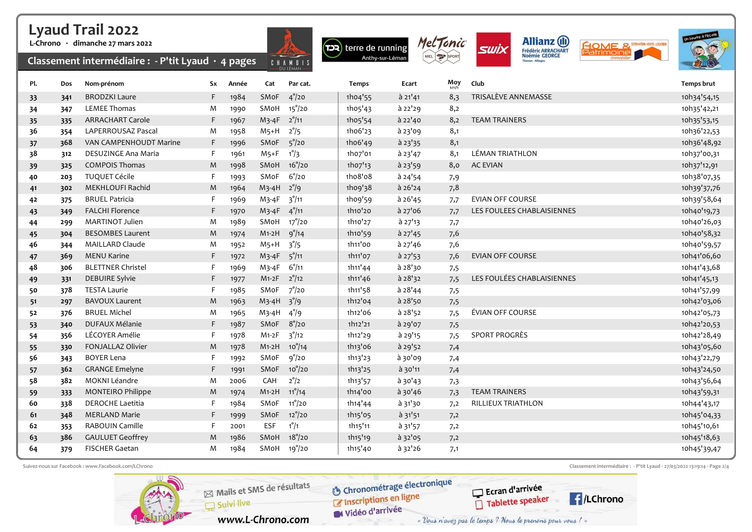### L-Chrono · dimanche 27 mars 2022

Classement intermédiaire : - P'tit Lyaud  $\cdot$  4 pages











| Pl. | Dos | Nom-prénom               | Sx | Année | Cat               | Par cat.        | Temps                | Ecart       | Moy | Club                       | Temps brut  |
|-----|-----|--------------------------|----|-------|-------------------|-----------------|----------------------|-------------|-----|----------------------------|-------------|
| 33  | 341 | <b>BRODZKI Laure</b>     | F  | 1984  | SMoF              | $4^{\circ}/20$  | 1h04'55              | $a$ 21'41   | 8,3 | TRISALÈVE ANNEMASSE        | 10h34'54,15 |
| 34  | 347 | <b>LEMEE Thomas</b>      | M  | 1990  | SMoH              | $15^\circ/20$   | 1h05'43              | à 22'29     | 8,2 |                            | 10h35'42,21 |
| 35  | 335 | <b>ARRACHART Carole</b>  | F  | 1967  | $M3-4F$           | $2^\circ/11$    | 1h05'54              | $a$ 22'40   | 8,2 | <b>TEAM TRAINERS</b>       | 10h35'53,15 |
| 36  | 354 | LAPERROUSAZ Pascal       | M  | 1958  | $M5+H$            | $2^{\circ}/5$   | 1h06'23              | à 23'09     | 8,1 |                            | 10h36'22,53 |
| 37  | 368 | VAN CAMPENHOUDT Marine   | F  | 1996  | SMoF              | $5^{\circ}/20$  | 1h06'49              | $a$ 23'35   | 8,1 |                            | 10h36'48,92 |
| 38  | 312 | DESUZINGE Ana Maria      | F  | 1961  | $M5+F$            | $1^\circ/3$     | 1h07'01              | $a$ 23'47   | 8,1 | <b>LÉMAN TRIATHLON</b>     | 10h37'00,31 |
| 39  | 325 | <b>COMPOIS Thomas</b>    | M  | 1998  | SMoH              | $16^{\circ}/20$ | 1ho7'13              | à 23'59     | 8,0 | <b>AC EVIAN</b>            | 10h37'12,91 |
| 40  | 203 | <b>TUQUET Cécile</b>     | F  | 1993  | SMoF              | $6^{\circ}/20$  | 1ho8'o8              | à 24'54     | 7,9 |                            | 10h38'07,35 |
| 41  | 302 | MEKHLOUFI Rachid         | M  | 1964  | $M3-4H$ $2^{9}/9$ |                 | 1ho9'38              | à 26'24     | 7,8 |                            | 10h39'37,76 |
| 42  | 375 | <b>BRUEL Patricia</b>    | F  | 1969  | $M3-4F$           | $3^{\circ}/11$  | 1h09'59              | à 26'45     | 7,7 | <b>EVIAN OFF COURSE</b>    | 10h39'58,64 |
| 43  | 349 | <b>FALCHI Florence</b>   | F. | 1970  | $M3-4F$           | $4^{\circ}/11$  | 1h10'20              | $a$ 27'06   | 7,7 | LES FOULEES CHABLAISIENNES | 10h40'19,73 |
| 44  | 299 | <b>MARTINOT Julien</b>   | M  | 1989  | SMoH              | $17^{\circ}/20$ | 1h10'27              | à 27'13     | 7,7 |                            | 10h40'26,03 |
| 45  | 304 | <b>BESOMBES Laurent</b>  | M  | 1974  | $M1-2H$           | $9^{\circ}/14$  | 1h10'59              | $a$ 27'45   | 7,6 |                            | 10h40'58,32 |
| 46  | 344 | <b>MAILLARD Claude</b>   | M  | 1952  | $M5+H$            | $3^{\circ}/5$   | 1h11'00              | à 27'46     | 7,6 |                            | 10h40'59,57 |
| 47  | 369 | <b>MENU Karine</b>       | F. | 1972  | $M3-4F$           | $5^{\circ}/11$  | 1h11'07              | $a$ 27'53   | 7,6 | <b>EVIAN OFF COURSE</b>    | 10h41'06,60 |
| 48  | 306 | <b>BLETTNER Christel</b> | F. | 1969  | M3-4F             | $6^{\circ}/11$  | 1h11'44              | à 28'30     | 7,5 |                            | 10h41'43,68 |
| 49  | 331 | <b>DEBUIRE Sylvie</b>    | F. | 1977  | $M1-2F$           | $2^{\circ}/12$  | 1h11'46              | $a^{28'32}$ | 7,5 | LES FOULÉES CHABLAISIENNES | 10h41'45,13 |
| 50  | 378 | <b>TESTA Laurie</b>      | F  | 1985  | SMoF              | $7^\circ/20$    | 1h11'58              | $a$ 28'44   | 7,5 |                            | 10h41'57,99 |
| 51  | 297 | <b>BAVOUX Laurent</b>    | M  | 1963  | $M_3-4H$          | $3^{9}/9$       | 1h12'04              | à 28'50     | 7,5 |                            | 10h42'03,06 |
| 52  | 376 | <b>BRUEL Michel</b>      | M  | 1965  | $M_3-4H$          | $4^{\circ}/9$   | 1h12'06              | à 28'52     | 7,5 | <b>ÉVIAN OFF COURSE</b>    | 10h42'05,73 |
| 53  | 340 | <b>DUFAUX Mélanie</b>    | F. | 1987  | SMoF              | $8^\circ/20$    | 1h12'21              | à 29'07     | 7,5 |                            | 10h42'20,53 |
| 54  | 356 | LÉCOYER Amélie           | F  | 1978  | $M1-2F$           | $3^{\circ}/12$  | 1h12'29              | à 29'15     | 7,5 | SPORT PROGRÈS              | 10h42'28,49 |
| 55  | 330 | FONJALLAZ Olivier        | M  | 1978  | $M1-2H$           | $10^{\circ}/14$ | 1h13'06              | à 29'52     | 7,4 |                            | 10h43'05,60 |
| 56  | 343 | <b>BOYER Lena</b>        | F  | 1992  | SMoF              | $9^\circ/20$    | 1h13'23              | à 30'09     | 7,4 |                            | 10h43'22,79 |
| 57  | 362 | <b>GRANGE Emelyne</b>    | F  | 1991  | SMoF              | $10^{\circ}/20$ | 1h13'25              | à 30'11     | 7,4 |                            | 10h43'24,50 |
| 58  | 382 | MOKNI Léandre            | M  | 2006  | CAH               | $2^{\circ}/2$   | 1h <sub>13</sub> '57 | à 30'43     | 7,3 |                            | 10h43'56,64 |
| 59  | 333 | <b>MONTEIRO Philippe</b> | M  | 1974  | $M1-2H$           | $11^{\circ}/14$ | 1h14'00              | à 30'46     | 7,3 | <b>TEAM TRAINERS</b>       | 10h43'59,31 |
| 60  | 338 | <b>DEROCHE Laetitia</b>  | F  | 1984  | SMoF              | $11^{\circ}/20$ | 1h14'44              | à 31'30     | 7,2 | RILLIEUX TRIATHLON         | 10h44'43,17 |
| 61  | 348 | <b>MERLAND Marie</b>     | F. | 1999  | SMoF              | $12^{\circ}/20$ | 1h15'05              | à 31'51     | 7,2 |                            | 10h45'04,33 |
| 62  | 353 | RABOUIN Camille          | F  | 2001  | <b>ESF</b>        | $1^\circ/1$     | 1h15'11              | $a$ 31'57   | 7,2 |                            | 10h45'10,61 |
| 63  | 386 | <b>GAULUET Geoffrey</b>  | M  | 1986  | SMoH              | $18^{\circ}/20$ | 1h15'19              | à 32'05     | 7,2 |                            | 10h45'18,63 |
| 64  | 379 | <b>FISCHER Gaetan</b>    | M  | 1984  | SMoH              | 19°/20          | 1h15'40              | $a$ 32'26   | 7,1 |                            | 10h45'39,47 |

Suivez-nous sur Facebook : www.Facebook.com/LChrono Classement intermédiaire : - P'tit Lyaud · 27/03/2022 13:19:14 · Page 2/4

**P**/LChrono



O Chronométrage électronique Chronomediago Widéo d'arrivée

« Vous n'avez pas le temps ? Nous le prenons pour vous ! »

Ecran d'arrivée

Tablette speaker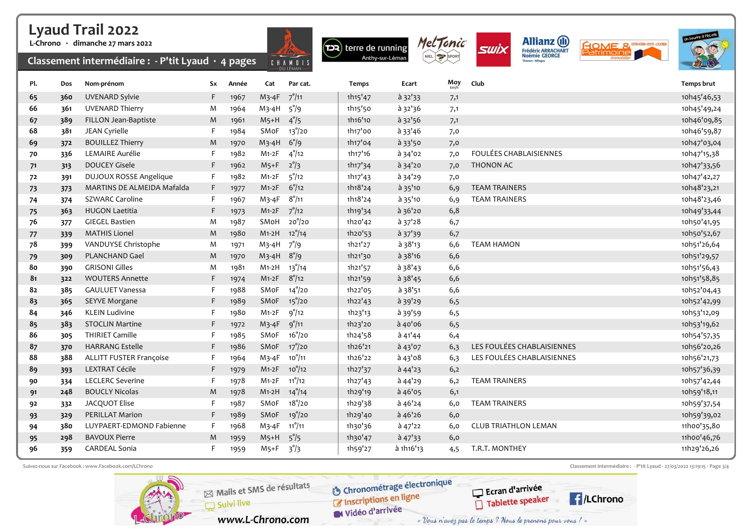L-Chrono · dimanche 27 mars 2022

Classement intermédiaire : - P'tit Lyaud  $\cdot$  4 pages











| PI. | Dos | Nom-prénom                 | Sx | Année | Cat                     | Par cat.        | Temps                            | Ecart           | Moy | Club                        | Temps brut  |
|-----|-----|----------------------------|----|-------|-------------------------|-----------------|----------------------------------|-----------------|-----|-----------------------------|-------------|
| 65  | 360 | <b>UVENARD Sylvie</b>      | F. | 1967  | $M3-4F$                 | $7^{\circ}/11$  | 1h15'47                          | $\hat{a}$ 32'33 | 7,1 |                             | 10h45'46,53 |
| 66  | 361 | <b>UVENARD Thierry</b>     | M  | 1964  | M3-4H                   | $5^{\circ}/9$   | 1h15'50                          | à 32'36         | 7,1 |                             | 10h45'49,24 |
| 67  | 389 | FILLON Jean-Baptiste       | M  | 1961  | $M5+H$                  | $4^{\circ}/5$   | 1h16'10                          | à 32'56         | 7,1 |                             | 10h46'09,85 |
| 68  | 381 | JEAN Cyrielle              | F. | 1984  | SMoF                    | $13^{\circ}/20$ | 1h17'00                          | à 33'46         | 7,0 |                             | 10h46'59,87 |
| 69  | 372 | <b>BOUILLEZ Thierry</b>    | M  | 1970  | $M3-4H$                 | $6^{\circ}/9$   | 1h17'04                          | à 33'50         | 7,0 |                             | 10h47'03,04 |
| 70  | 336 | <b>LEMAIRE Aurélie</b>     | F. | 1982  | $M1-2F$                 | $4^{\circ}/12$  | 1h17'16                          | à 34'02         | 7,0 | FOULÉES CHABLAISIENNES      | 10h47'15,38 |
| 71  | 313 | <b>DOUCEY Gisele</b>       | F. | 1962  | $M5+F$                  | $2^{\circ}/3$   | 1h17'34                          | à 34'20         | 7,0 | THONON AC                   | 10h47'33,56 |
| 72  | 391 | DUJOUX ROSSE Angelique     | F. | 1982  | $M1-2F$                 | $5^{\circ}/12$  | 1h17'43                          | à 34'29         | 7,0 |                             | 10h47'42,27 |
| 73  | 373 | MARTINS DE ALMEIDA Mafalda | F. | 1977  | $M1-2F$                 | $6^{\circ}/12$  | 1h18'24                          | $a$ 35'10       | 6,9 | <b>TEAM TRAINERS</b>        | 10h48'23,21 |
| 74  | 374 | <b>SZWARC Caroline</b>     | F  | 1967  | $M3-4F$                 | $8^{\circ}/11$  | 1h18'24                          | à 35'10         | 6,9 | <b>TEAM TRAINERS</b>        | 10h48'23,46 |
| 75  | 363 | <b>HUGON Laetitia</b>      | F. | 1973  | $M1-2F$                 | $7^{\circ}/12$  | 1h19'34                          | à 36'20         | 6,8 |                             | 10h49'33,44 |
| 76  | 377 | <b>GIEGEL Bastien</b>      | M  | 1987  | SMoH                    | $20^{\circ}/20$ | 1h20'42                          | $a$ 37'28       | 6,7 |                             | 10h50'41,95 |
| 77  | 339 | <b>MATHIS Lionel</b>       | M  | 1980  | $M1-2H$ $12^{\circ}/14$ |                 | 1h20'53                          | $a$ 37'39       | 6,7 |                             | 10h50'52,67 |
| 78  | 399 | VANDUYSE Christophe        | M  | 1971  | $M3-4H$                 | $7^\circ/9$     | 1h <sub>21</sub> ' <sub>27</sub> | à 38'13         | 6,6 | <b>TEAM HAMON</b>           | 10h51'26,64 |
| 79  | 309 | <b>PLANCHAND Gael</b>      | M  | 1970  | $M3-4H$                 | $8^\circ$ /9    | 1h21'30                          | $a$ 38'16       | 6,6 |                             | 10h51'29,57 |
| 80  | 390 | <b>GRISONI Gilles</b>      | M  | 1981  | $M1-2H$                 | $13^{\circ}/14$ | 1h21'57                          | $a$ 38'43       | 6,6 |                             | 10h51'56,43 |
| 81  | 322 | <b>WOUTERS Annette</b>     | F. | 1974  | $M1-2F$                 | $8^{\circ}/12$  | 1h21'59                          | $a$ 38'45       | 6,6 |                             | 10h51'58,85 |
| 82  | 385 | <b>GAULUET Vanessa</b>     | F. | 1988  | SMoF                    | $14^{\circ}/20$ | 1h22'05                          | à 38'51         | 6,6 |                             | 10h52'04,43 |
| 83  | 365 | <b>SEYVE Morgane</b>       | F. | 1989  | SMoF                    | $15^{\circ}/20$ | 1h22'43                          | à 39'29         | 6,5 |                             | 10h52'42,99 |
| 84  | 346 | <b>KLEIN Ludivine</b>      | F  | 1980  | $M1-2F$                 | $9^\circ/12$    | 1h23'13                          | à 39'59         | 6,5 |                             | 10h53'12,09 |
| 85  | 383 | <b>STOCLIN Martine</b>     | F. | 1972  | $M_3 - 4F$              | $9^{\circ}/11$  | 1h23'20                          | à 40'06         | 6,5 |                             | 10h53'19,62 |
| 86  | 305 | <b>THIRIET Camille</b>     | F  | 1985  | SMoF                    | $16^{\circ}/20$ | 1h24'58                          | $a$ 41'44       | 6,4 |                             | 10h54'57,35 |
| 87  | 370 | <b>HARRANG Estelle</b>     | F. | 1986  | SMoF                    | $17^{\circ}/20$ | 1h26'21                          | $\hat{a}$ 43'07 | 6,3 | LES FOULÉES CHABLAISIENNES  | 10h56'20,26 |
| 88  | 388 | ALLITT FUSTER Françoise    | F  | 1964  | $M3-4F$                 | $10^{\circ}/11$ | 1h26'22                          | $a_{43}$ '08    | 6,3 | LES FOULÉES CHABLAISIENNES  | 10h56'21,73 |
| 89  | 393 | <b>LEXTRAT Cécile</b>      | F. | 1979  | $M1-2F$                 | $10^{\circ}/12$ | 1h27'37                          | $a$ 44'23       | 6,2 |                             | 10h57'36,39 |
| 90  | 334 | <b>LECLERC Severine</b>    | F. | 1978  | $M1-2F$                 | $11^{\circ}/12$ | 1h27'43                          | à 44'29         | 6,2 | <b>TEAM TRAINERS</b>        | 10h57'42,44 |
| 91  | 248 | <b>BOUCLY Nicolas</b>      | M  | 1978  | $M1-2H$                 | $14^{\circ}/14$ | 1h29'19                          | $a$ 46'05       | 6,1 |                             | 10h59'18,11 |
| 92  | 332 | JACQUOT Elise              | F  | 1987  | SMoF                    | $18^{\circ}/20$ | 1h29'38                          | $a$ 46'24       | 6,0 | <b>TEAM TRAINERS</b>        | 10h59'37,54 |
| 93  | 329 | PERILLAT Marion            | F. | 1989  | SMoF                    | 19°/20          | 1h29'40                          | $a$ 46'26       | 6,0 |                             | 10h59'39,02 |
| 94  | 380 | LUYPAERT-EDMOND Fabienne   | F. | 1968  | $M_3 - 4F$              | $11^{\circ}/11$ | 1h30'36                          | $a$ 47'22       | 6,0 | <b>CLUB TRIATHLON LEMAN</b> | 11h00'35,80 |
| 95  | 298 | <b>BAVOUX Pierre</b>       | M  | 1959  | $M5+H$                  | $5^{\circ}/5$   | 1h30'47                          | $a$ 47'33       | 6,0 |                             | 11hoo'46,76 |
| 96  | 359 | <b>CARDEAL Sonia</b>       | F. | 1959  | $M5+F$                  | $3^{\circ}/3$   | 1h59'27                          | à 1h16'13       | 4,5 | T.R.T. MONTHEY              | 11h29'26,26 |

Suivez-nous sur Facebook : www.Facebook.com/LChrono Classement intermédiaire : - P'tit Lyaud · 27/03/2022 13:19:15 · Page 3/4

**P**/LChrono



O Chronométrage électronique Chronomediago Widéo d'arrivée

« Vous n'avez pas le temps ? Nous le prenons pour vous ! »

Ecran d'arrivée

Tablette speaker